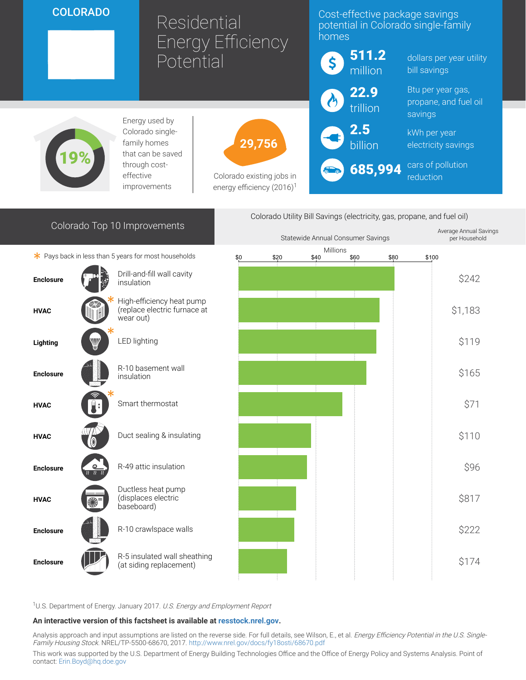## COLORADO

# Residential Energy Efficiency Potential

### Cost-effective package savings potential in Colorado single-family homes

utility

| 511.2<br>\$<br>million | dollars per year utilit<br>bill savings               |
|------------------------|-------------------------------------------------------|
| 22.9<br>trillion       | Btu per year gas,<br>propane, and fuel oil<br>savings |
| $\bigodot$ 2.5         | kWh per year<br>electricity savings                   |
| 685,994<br>60          | cars of pollution<br>reduction                        |

19%

Energy used by Colorado singlefamily homes that can be saved through costeffective improvements

Colorado Top 10 Improvements

29,756

Colorado existing jobs in energy efficiency  $(2016)^1$ 





<sup>1</sup>U.S. Department of Energy. January 2017. U.S. Energy and Employment Report

#### An interactive version of this factsheet is available at [resstock.nrel.gov.](https://resstock.nrel.gov/)

Analysis approach and input assumptions are listed on the reverse side. For full details, see Wilson, E., et al. Energy Efficiency Potential in the U.S. Single-Family Housing Stock. NREL/TP-5500-68670, 2017. <http://www.nrel.gov/docs/fy18osti/68670.pdf>

This work was supported by the U.S. Department of Energy Building Technologies Office and the Office of Energy Policy and Systems Analysis. Point of contact: [Erin.Boyd@hq.doe.gov](mailto:Erin.Boyd@hq.doe.gov)